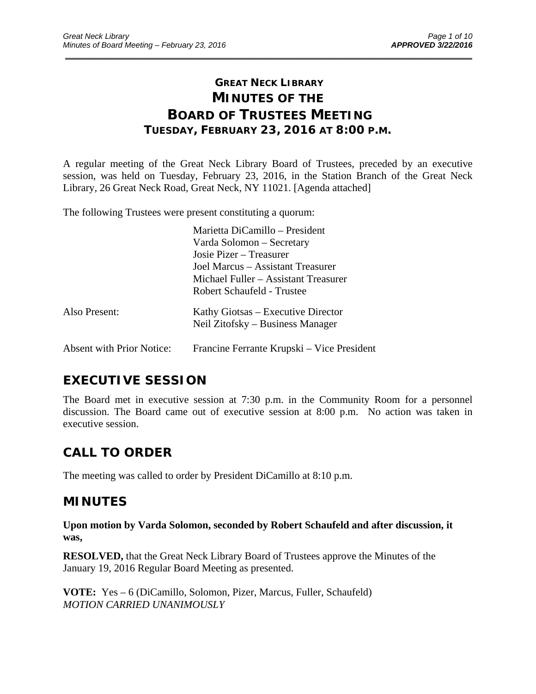# **GREAT NECK LIBRARY MINUTES OF THE BOARD OF TRUSTEES MEETING TUESDAY, FEBRUARY 23, 2016 AT 8:00 P.M.**

\_\_\_\_\_\_\_\_\_\_\_\_\_\_\_\_\_\_\_\_\_\_\_\_\_\_\_\_\_\_\_\_\_\_\_\_\_\_\_\_\_\_\_\_\_\_\_\_\_\_\_\_\_\_\_\_\_\_\_\_\_\_\_\_\_\_\_\_\_\_\_\_\_\_\_\_\_\_\_\_\_\_\_\_\_\_\_\_\_\_\_\_\_

A regular meeting of the Great Neck Library Board of Trustees, preceded by an executive session, was held on Tuesday, February 23, 2016, in the Station Branch of the Great Neck Library, 26 Great Neck Road, Great Neck, NY 11021. [Agenda attached]

The following Trustees were present constituting a quorum:

|                                  | Marietta DiCamillo – President             |
|----------------------------------|--------------------------------------------|
|                                  | Varda Solomon – Secretary                  |
|                                  | Josie Pizer – Treasurer                    |
|                                  | Joel Marcus – Assistant Treasurer          |
|                                  | Michael Fuller – Assistant Treasurer       |
|                                  | Robert Schaufeld - Trustee                 |
| Also Present:                    | Kathy Giotsas – Executive Director         |
|                                  | Neil Zitofsky – Business Manager           |
| <b>Absent with Prior Notice:</b> | Francine Ferrante Krupski – Vice President |

# **EXECUTIVE SESSION**

The Board met in executive session at 7:30 p.m. in the Community Room for a personnel discussion. The Board came out of executive session at 8:00 p.m. No action was taken in executive session.

# **CALL TO ORDER**

The meeting was called to order by President DiCamillo at 8:10 p.m.

# **MINUTES**

**Upon motion by Varda Solomon, seconded by Robert Schaufeld and after discussion, it was,** 

**RESOLVED,** that the Great Neck Library Board of Trustees approve the Minutes of the January 19, 2016 Regular Board Meeting as presented.

**VOTE:** Yes – 6 (DiCamillo, Solomon, Pizer, Marcus, Fuller, Schaufeld) *MOTION CARRIED UNANIMOUSLY*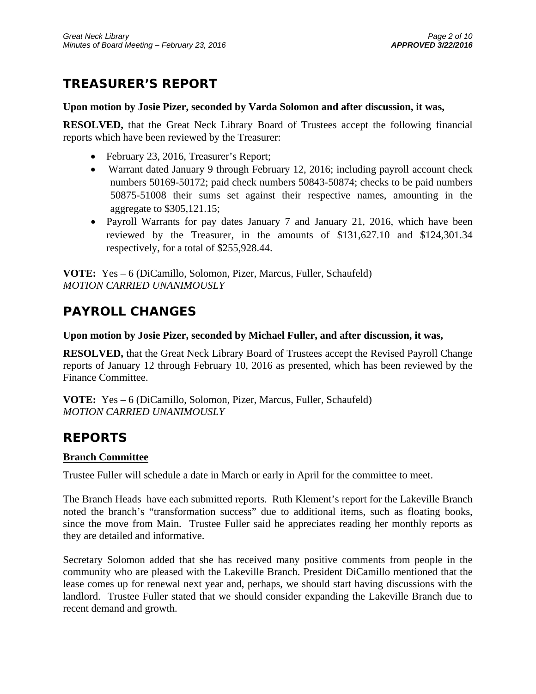# **TREASURER'S REPORT**

# **Upon motion by Josie Pizer, seconded by Varda Solomon and after discussion, it was,**

**RESOLVED,** that the Great Neck Library Board of Trustees accept the following financial reports which have been reviewed by the Treasurer:

- February 23, 2016, Treasurer's Report;
- Warrant dated January 9 through February 12, 2016; including payroll account check numbers 50169-50172; paid check numbers 50843-50874; checks to be paid numbers 50875-51008 their sums set against their respective names, amounting in the aggregate to \$305,121.15;
- Payroll Warrants for pay dates January 7 and January 21, 2016, which have been reviewed by the Treasurer, in the amounts of \$131,627.10 and \$124,301.34 respectively, for a total of \$255,928.44.

**VOTE:** Yes – 6 (DiCamillo, Solomon, Pizer, Marcus, Fuller, Schaufeld) *MOTION CARRIED UNANIMOUSLY* 

# **PAYROLL CHANGES**

# **Upon motion by Josie Pizer, seconded by Michael Fuller, and after discussion, it was,**

**RESOLVED,** that the Great Neck Library Board of Trustees accept the Revised Payroll Change reports of January 12 through February 10, 2016 as presented, which has been reviewed by the Finance Committee.

**VOTE:** Yes – 6 (DiCamillo, Solomon, Pizer, Marcus, Fuller, Schaufeld) *MOTION CARRIED UNANIMOUSLY* 

# **REPORTS**

# **Branch Committee**

Trustee Fuller will schedule a date in March or early in April for the committee to meet.

The Branch Heads have each submitted reports. Ruth Klement's report for the Lakeville Branch noted the branch's "transformation success" due to additional items, such as floating books, since the move from Main. Trustee Fuller said he appreciates reading her monthly reports as they are detailed and informative.

Secretary Solomon added that she has received many positive comments from people in the community who are pleased with the Lakeville Branch. President DiCamillo mentioned that the lease comes up for renewal next year and, perhaps, we should start having discussions with the landlord. Trustee Fuller stated that we should consider expanding the Lakeville Branch due to recent demand and growth.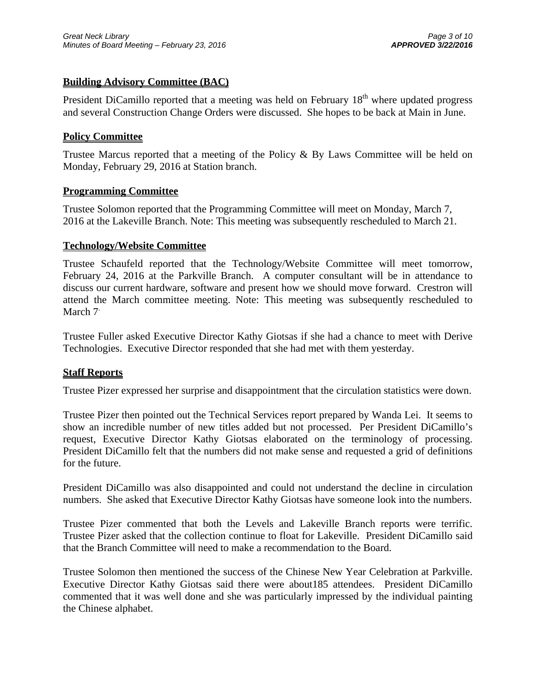# **Building Advisory Committee (BAC)**

President DiCamillo reported that a meeting was held on February 18<sup>th</sup> where updated progress and several Construction Change Orders were discussed. She hopes to be back at Main in June.

## **Policy Committee**

Trustee Marcus reported that a meeting of the Policy & By Laws Committee will be held on Monday, February 29, 2016 at Station branch.

#### **Programming Committee**

Trustee Solomon reported that the Programming Committee will meet on Monday, March 7, 2016 at the Lakeville Branch. Note: This meeting was subsequently rescheduled to March 21.

#### **Technology/Website Committee**

Trustee Schaufeld reported that the Technology/Website Committee will meet tomorrow, February 24, 2016 at the Parkville Branch. A computer consultant will be in attendance to discuss our current hardware, software and present how we should move forward. Crestron will attend the March committee meeting. Note: This meeting was subsequently rescheduled to March 7<sup>.</sup>

Trustee Fuller asked Executive Director Kathy Giotsas if she had a chance to meet with Derive Technologies. Executive Director responded that she had met with them yesterday.

## **Staff Reports**

Trustee Pizer expressed her surprise and disappointment that the circulation statistics were down.

Trustee Pizer then pointed out the Technical Services report prepared by Wanda Lei. It seems to show an incredible number of new titles added but not processed. Per President DiCamillo's request, Executive Director Kathy Giotsas elaborated on the terminology of processing. President DiCamillo felt that the numbers did not make sense and requested a grid of definitions for the future.

President DiCamillo was also disappointed and could not understand the decline in circulation numbers. She asked that Executive Director Kathy Giotsas have someone look into the numbers.

Trustee Pizer commented that both the Levels and Lakeville Branch reports were terrific. Trustee Pizer asked that the collection continue to float for Lakeville. President DiCamillo said that the Branch Committee will need to make a recommendation to the Board.

Trustee Solomon then mentioned the success of the Chinese New Year Celebration at Parkville. Executive Director Kathy Giotsas said there were about185 attendees. President DiCamillo commented that it was well done and she was particularly impressed by the individual painting the Chinese alphabet.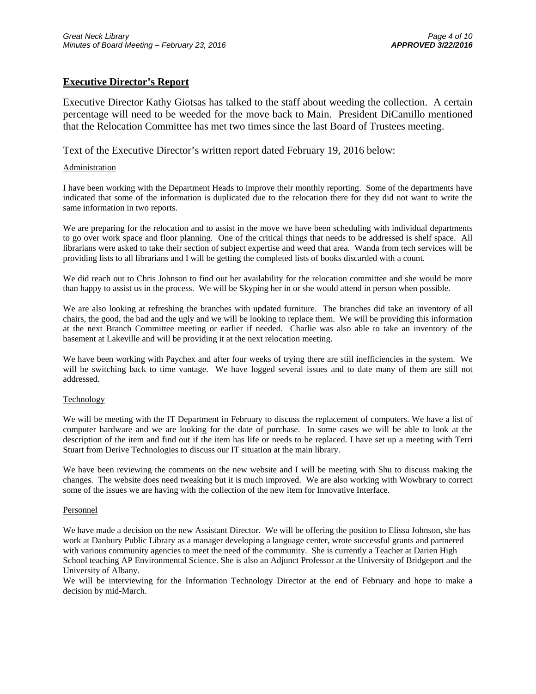## **Executive Director's Report**

Executive Director Kathy Giotsas has talked to the staff about weeding the collection. A certain percentage will need to be weeded for the move back to Main. President DiCamillo mentioned that the Relocation Committee has met two times since the last Board of Trustees meeting.

Text of the Executive Director's written report dated February 19, 2016 below:

#### **Administration**

I have been working with the Department Heads to improve their monthly reporting. Some of the departments have indicated that some of the information is duplicated due to the relocation there for they did not want to write the same information in two reports.

We are preparing for the relocation and to assist in the move we have been scheduling with individual departments to go over work space and floor planning. One of the critical things that needs to be addressed is shelf space. All librarians were asked to take their section of subject expertise and weed that area. Wanda from tech services will be providing lists to all librarians and I will be getting the completed lists of books discarded with a count.

We did reach out to Chris Johnson to find out her availability for the relocation committee and she would be more than happy to assist us in the process. We will be Skyping her in or she would attend in person when possible.

We are also looking at refreshing the branches with updated furniture. The branches did take an inventory of all chairs, the good, the bad and the ugly and we will be looking to replace them. We will be providing this information at the next Branch Committee meeting or earlier if needed. Charlie was also able to take an inventory of the basement at Lakeville and will be providing it at the next relocation meeting.

We have been working with Paychex and after four weeks of trying there are still inefficiencies in the system. We will be switching back to time vantage. We have logged several issues and to date many of them are still not addressed.

#### Technology

We will be meeting with the IT Department in February to discuss the replacement of computers. We have a list of computer hardware and we are looking for the date of purchase. In some cases we will be able to look at the description of the item and find out if the item has life or needs to be replaced. I have set up a meeting with Terri Stuart from Derive Technologies to discuss our IT situation at the main library.

We have been reviewing the comments on the new website and I will be meeting with Shu to discuss making the changes. The website does need tweaking but it is much improved. We are also working with Wowbrary to correct some of the issues we are having with the collection of the new item for Innovative Interface.

#### Personnel

We have made a decision on the new Assistant Director. We will be offering the position to Elissa Johnson, she has work at Danbury Public Library as a manager developing a language center, wrote successful grants and partnered with various community agencies to meet the need of the community. She is currently a Teacher at Darien High School teaching AP Environmental Science. She is also an Adjunct Professor at the University of Bridgeport and the University of Albany.

We will be interviewing for the Information Technology Director at the end of February and hope to make a decision by mid-March.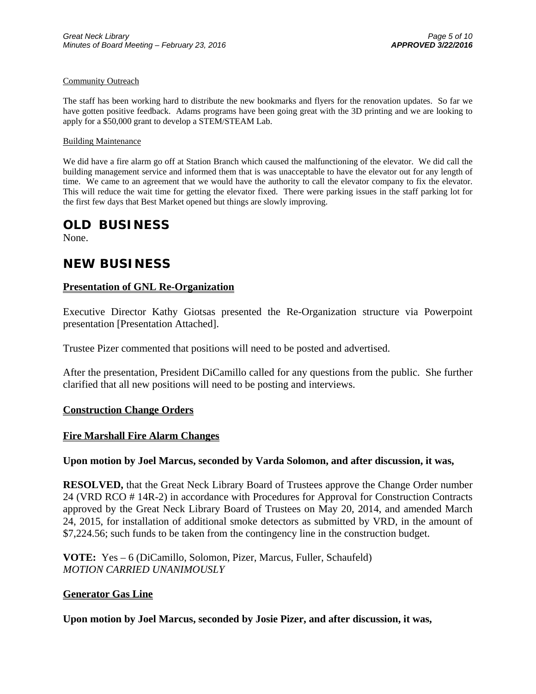#### Community Outreach

The staff has been working hard to distribute the new bookmarks and flyers for the renovation updates. So far we have gotten positive feedback. Adams programs have been going great with the 3D printing and we are looking to apply for a \$50,000 grant to develop a STEM/STEAM Lab.

#### Building Maintenance

We did have a fire alarm go off at Station Branch which caused the malfunctioning of the elevator. We did call the building management service and informed them that is was unacceptable to have the elevator out for any length of time. We came to an agreement that we would have the authority to call the elevator company to fix the elevator. This will reduce the wait time for getting the elevator fixed. There were parking issues in the staff parking lot for the first few days that Best Market opened but things are slowly improving.

# **OLD BUSINESS**

None.

# **NEW BUSINESS**

## **Presentation of GNL Re-Organization**

Executive Director Kathy Giotsas presented the Re-Organization structure via Powerpoint presentation [Presentation Attached].

Trustee Pizer commented that positions will need to be posted and advertised.

After the presentation, President DiCamillo called for any questions from the public. She further clarified that all new positions will need to be posting and interviews.

## **Construction Change Orders**

## **Fire Marshall Fire Alarm Changes**

## **Upon motion by Joel Marcus, seconded by Varda Solomon, and after discussion, it was,**

**RESOLVED,** that the Great Neck Library Board of Trustees approve the Change Order number 24 (VRD RCO # 14R-2) in accordance with Procedures for Approval for Construction Contracts approved by the Great Neck Library Board of Trustees on May 20, 2014, and amended March 24, 2015, for installation of additional smoke detectors as submitted by VRD, in the amount of \$7,224.56; such funds to be taken from the contingency line in the construction budget.

**VOTE:** Yes – 6 (DiCamillo, Solomon, Pizer, Marcus, Fuller, Schaufeld) *MOTION CARRIED UNANIMOUSLY* 

#### **Generator Gas Line**

**Upon motion by Joel Marcus, seconded by Josie Pizer, and after discussion, it was,**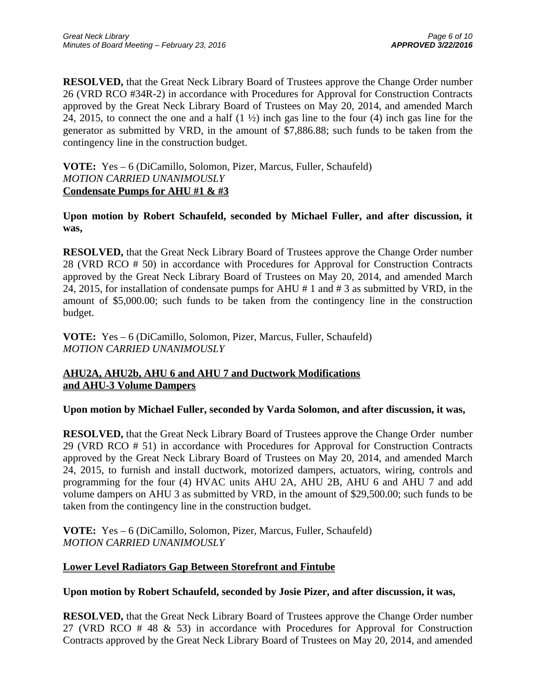**RESOLVED,** that the Great Neck Library Board of Trustees approve the Change Order number 26 (VRD RCO #34R-2) in accordance with Procedures for Approval for Construction Contracts approved by the Great Neck Library Board of Trustees on May 20, 2014, and amended March 24, 2015, to connect the one and a half (1 ½) inch gas line to the four (4) inch gas line for the generator as submitted by VRD, in the amount of \$7,886.88; such funds to be taken from the contingency line in the construction budget.

**VOTE:** Yes – 6 (DiCamillo, Solomon, Pizer, Marcus, Fuller, Schaufeld) *MOTION CARRIED UNANIMOUSLY*  **Condensate Pumps for AHU #1 & #3** 

**Upon motion by Robert Schaufeld, seconded by Michael Fuller, and after discussion, it was,** 

**RESOLVED,** that the Great Neck Library Board of Trustees approve the Change Order number 28 (VRD RCO # 50) in accordance with Procedures for Approval for Construction Contracts approved by the Great Neck Library Board of Trustees on May 20, 2014, and amended March 24, 2015, for installation of condensate pumps for AHU # 1 and # 3 as submitted by VRD, in the amount of \$5,000.00; such funds to be taken from the contingency line in the construction budget.

**VOTE:** Yes – 6 (DiCamillo, Solomon, Pizer, Marcus, Fuller, Schaufeld) *MOTION CARRIED UNANIMOUSLY* 

# **AHU2A, AHU2b, AHU 6 and AHU 7 and Ductwork Modifications and AHU-3 Volume Dampers**

**Upon motion by Michael Fuller, seconded by Varda Solomon, and after discussion, it was,** 

**RESOLVED,** that the Great Neck Library Board of Trustees approve the Change Order number 29 (VRD RCO # 51) in accordance with Procedures for Approval for Construction Contracts approved by the Great Neck Library Board of Trustees on May 20, 2014, and amended March 24, 2015, to furnish and install ductwork, motorized dampers, actuators, wiring, controls and programming for the four (4) HVAC units AHU 2A, AHU 2B, AHU 6 and AHU 7 and add volume dampers on AHU 3 as submitted by VRD, in the amount of \$29,500.00; such funds to be taken from the contingency line in the construction budget.

**VOTE:** Yes – 6 (DiCamillo, Solomon, Pizer, Marcus, Fuller, Schaufeld) *MOTION CARRIED UNANIMOUSLY* 

# **Lower Level Radiators Gap Between Storefront and Fintube**

**Upon motion by Robert Schaufeld, seconded by Josie Pizer, and after discussion, it was,** 

**RESOLVED,** that the Great Neck Library Board of Trustees approve the Change Order number 27 (VRD RCO # 48 & 53) in accordance with Procedures for Approval for Construction Contracts approved by the Great Neck Library Board of Trustees on May 20, 2014, and amended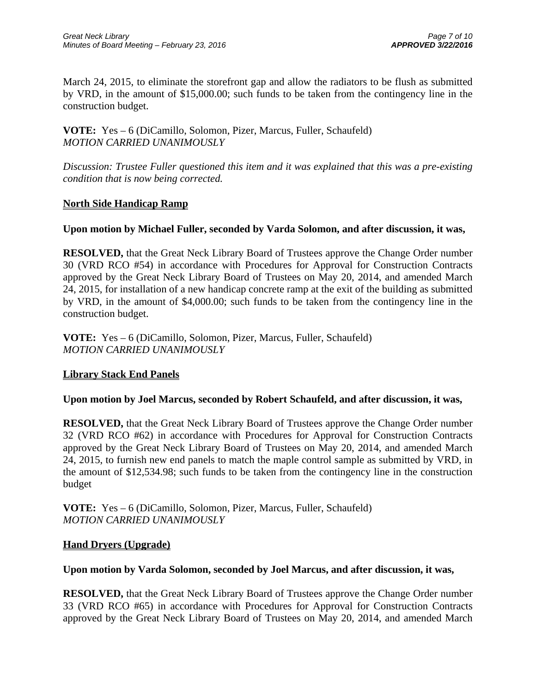March 24, 2015, to eliminate the storefront gap and allow the radiators to be flush as submitted by VRD, in the amount of \$15,000.00; such funds to be taken from the contingency line in the construction budget.

**VOTE:** Yes – 6 (DiCamillo, Solomon, Pizer, Marcus, Fuller, Schaufeld) *MOTION CARRIED UNANIMOUSLY* 

*Discussion: Trustee Fuller questioned this item and it was explained that this was a pre-existing condition that is now being corrected.* 

# **North Side Handicap Ramp**

# **Upon motion by Michael Fuller, seconded by Varda Solomon, and after discussion, it was,**

**RESOLVED,** that the Great Neck Library Board of Trustees approve the Change Order number 30 (VRD RCO #54) in accordance with Procedures for Approval for Construction Contracts approved by the Great Neck Library Board of Trustees on May 20, 2014, and amended March 24, 2015, for installation of a new handicap concrete ramp at the exit of the building as submitted by VRD, in the amount of \$4,000.00; such funds to be taken from the contingency line in the construction budget.

**VOTE:** Yes – 6 (DiCamillo, Solomon, Pizer, Marcus, Fuller, Schaufeld) *MOTION CARRIED UNANIMOUSLY* 

# **Library Stack End Panels**

## **Upon motion by Joel Marcus, seconded by Robert Schaufeld, and after discussion, it was,**

**RESOLVED,** that the Great Neck Library Board of Trustees approve the Change Order number 32 (VRD RCO #62) in accordance with Procedures for Approval for Construction Contracts approved by the Great Neck Library Board of Trustees on May 20, 2014, and amended March 24, 2015, to furnish new end panels to match the maple control sample as submitted by VRD, in the amount of \$12,534.98; such funds to be taken from the contingency line in the construction budget

**VOTE:** Yes – 6 (DiCamillo, Solomon, Pizer, Marcus, Fuller, Schaufeld) *MOTION CARRIED UNANIMOUSLY* 

## **Hand Dryers (Upgrade)**

## **Upon motion by Varda Solomon, seconded by Joel Marcus, and after discussion, it was,**

**RESOLVED,** that the Great Neck Library Board of Trustees approve the Change Order number 33 (VRD RCO #65) in accordance with Procedures for Approval for Construction Contracts approved by the Great Neck Library Board of Trustees on May 20, 2014, and amended March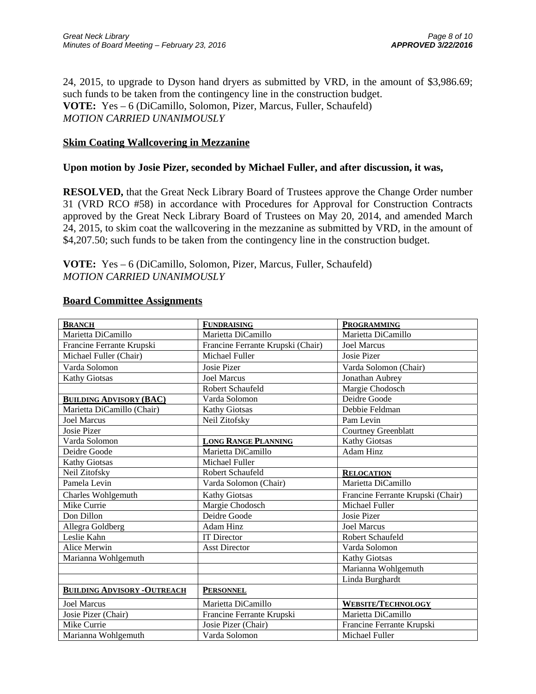24, 2015, to upgrade to Dyson hand dryers as submitted by VRD, in the amount of \$3,986.69; such funds to be taken from the contingency line in the construction budget. **VOTE:** Yes – 6 (DiCamillo, Solomon, Pizer, Marcus, Fuller, Schaufeld) *MOTION CARRIED UNANIMOUSLY* 

# **Skim Coating Wallcovering in Mezzanine**

## **Upon motion by Josie Pizer, seconded by Michael Fuller, and after discussion, it was,**

**RESOLVED,** that the Great Neck Library Board of Trustees approve the Change Order number 31 (VRD RCO #58) in accordance with Procedures for Approval for Construction Contracts approved by the Great Neck Library Board of Trustees on May 20, 2014, and amended March 24, 2015, to skim coat the wallcovering in the mezzanine as submitted by VRD, in the amount of \$4,207.50; such funds to be taken from the contingency line in the construction budget.

**VOTE:** Yes – 6 (DiCamillo, Solomon, Pizer, Marcus, Fuller, Schaufeld) *MOTION CARRIED UNANIMOUSLY* 

## **Board Committee Assignments**

| <b>BRANCH</b>                       | <b>FUNDRAISING</b>                | <b>PROGRAMMING</b>                |
|-------------------------------------|-----------------------------------|-----------------------------------|
| Marietta DiCamillo                  | Marietta DiCamillo                | Marietta DiCamillo                |
| Francine Ferrante Krupski           | Francine Ferrante Krupski (Chair) | <b>Joel Marcus</b>                |
| Michael Fuller (Chair)              | Michael Fuller                    | <b>Josie Pizer</b>                |
| Varda Solomon                       | Josie Pizer                       | Varda Solomon (Chair)             |
| <b>Kathy Giotsas</b>                | <b>Joel Marcus</b>                | Jonathan Aubrey                   |
|                                     | Robert Schaufeld                  | Margie Chodosch                   |
| <b>BUILDING ADVISORY (BAC)</b>      | Varda Solomon                     | Deidre Goode                      |
| Marietta DiCamillo (Chair)          | <b>Kathy Giotsas</b>              | Debbie Feldman                    |
| <b>Joel Marcus</b>                  | Neil Zitofsky                     | Pam Levin                         |
| Josie Pizer                         |                                   | <b>Courtney Greenblatt</b>        |
| Varda Solomon                       | <b>LONG RANGE PLANNING</b>        | <b>Kathy Giotsas</b>              |
| Deidre Goode                        | Marietta DiCamillo                | <b>Adam Hinz</b>                  |
| <b>Kathy Giotsas</b>                | Michael Fuller                    |                                   |
| Neil Zitofsky                       | Robert Schaufeld                  | <b>RELOCATION</b>                 |
| Pamela Levin                        | Varda Solomon (Chair)             | Marietta DiCamillo                |
| Charles Wohlgemuth                  | <b>Kathy Giotsas</b>              | Francine Ferrante Krupski (Chair) |
| Mike Currie                         | Margie Chodosch                   | Michael Fuller                    |
| Don Dillon                          | Deidre Goode                      | <b>Josie Pizer</b>                |
| Allegra Goldberg                    | <b>Adam Hinz</b>                  | <b>Joel Marcus</b>                |
| Leslie Kahn                         | <b>IT Director</b>                | Robert Schaufeld                  |
| Alice Merwin                        | <b>Asst Director</b>              | Varda Solomon                     |
| Marianna Wohlgemuth                 |                                   | Kathy Giotsas                     |
|                                     |                                   | Marianna Wohlgemuth               |
|                                     |                                   | Linda Burghardt                   |
| <b>BUILDING ADVISORY - OUTREACH</b> | <b>PERSONNEL</b>                  |                                   |
| <b>Joel Marcus</b>                  | Marietta DiCamillo                | <b>WEBSITE/TECHNOLOGY</b>         |
| Josie Pizer (Chair)                 | Francine Ferrante Krupski         | Marietta DiCamillo                |
| Mike Currie                         | Josie Pizer (Chair)               | Francine Ferrante Krupski         |
| Marianna Wohlgemuth                 | Varda Solomon                     | Michael Fuller                    |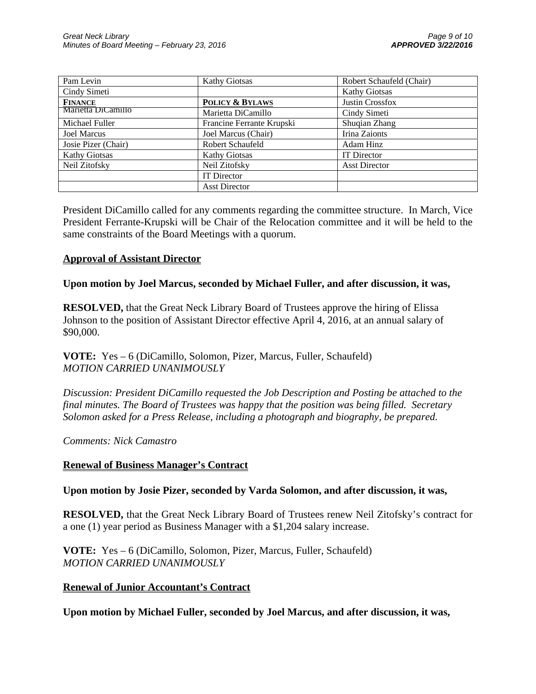| Pam Levin            | <b>Kathy Giotsas</b>       | Robert Schaufeld (Chair) |
|----------------------|----------------------------|--------------------------|
| Cindy Simeti         |                            | <b>Kathy Giotsas</b>     |
| <b>FINANCE</b>       | <b>POLICY &amp; BYLAWS</b> | Justin Crossfox          |
| Marietta DiCamillo   | Marietta DiCamillo         | Cindy Simeti             |
| Michael Fuller       | Francine Ferrante Krupski  | Shuqian Zhang            |
| <b>Joel Marcus</b>   | Joel Marcus (Chair)        | Irina Zaionts            |
| Josie Pizer (Chair)  | Robert Schaufeld           | Adam Hinz                |
| <b>Kathy Giotsas</b> | Kathy Giotsas              | <b>IT</b> Director       |
| Neil Zitofsky        | Neil Zitofsky              | <b>Asst Director</b>     |
|                      | <b>IT</b> Director         |                          |
|                      | <b>Asst Director</b>       |                          |

President DiCamillo called for any comments regarding the committee structure. In March, Vice President Ferrante-Krupski will be Chair of the Relocation committee and it will be held to the same constraints of the Board Meetings with a quorum.

## **Approval of Assistant Director**

#### **Upon motion by Joel Marcus, seconded by Michael Fuller, and after discussion, it was,**

**RESOLVED,** that the Great Neck Library Board of Trustees approve the hiring of Elissa Johnson to the position of Assistant Director effective April 4, 2016, at an annual salary of \$90,000.

# **VOTE:** Yes – 6 (DiCamillo, Solomon, Pizer, Marcus, Fuller, Schaufeld) *MOTION CARRIED UNANIMOUSLY*

*Discussion: President DiCamillo requested the Job Description and Posting be attached to the final minutes. The Board of Trustees was happy that the position was being filled. Secretary Solomon asked for a Press Release, including a photograph and biography, be prepared.* 

## *Comments: Nick Camastro*

## **Renewal of Business Manager's Contract**

## **Upon motion by Josie Pizer, seconded by Varda Solomon, and after discussion, it was,**

**RESOLVED,** that the Great Neck Library Board of Trustees renew Neil Zitofsky's contract for a one (1) year period as Business Manager with a \$1,204 salary increase.

**VOTE:** Yes – 6 (DiCamillo, Solomon, Pizer, Marcus, Fuller, Schaufeld) *MOTION CARRIED UNANIMOUSLY* 

## **Renewal of Junior Accountant's Contract**

**Upon motion by Michael Fuller, seconded by Joel Marcus, and after discussion, it was,**